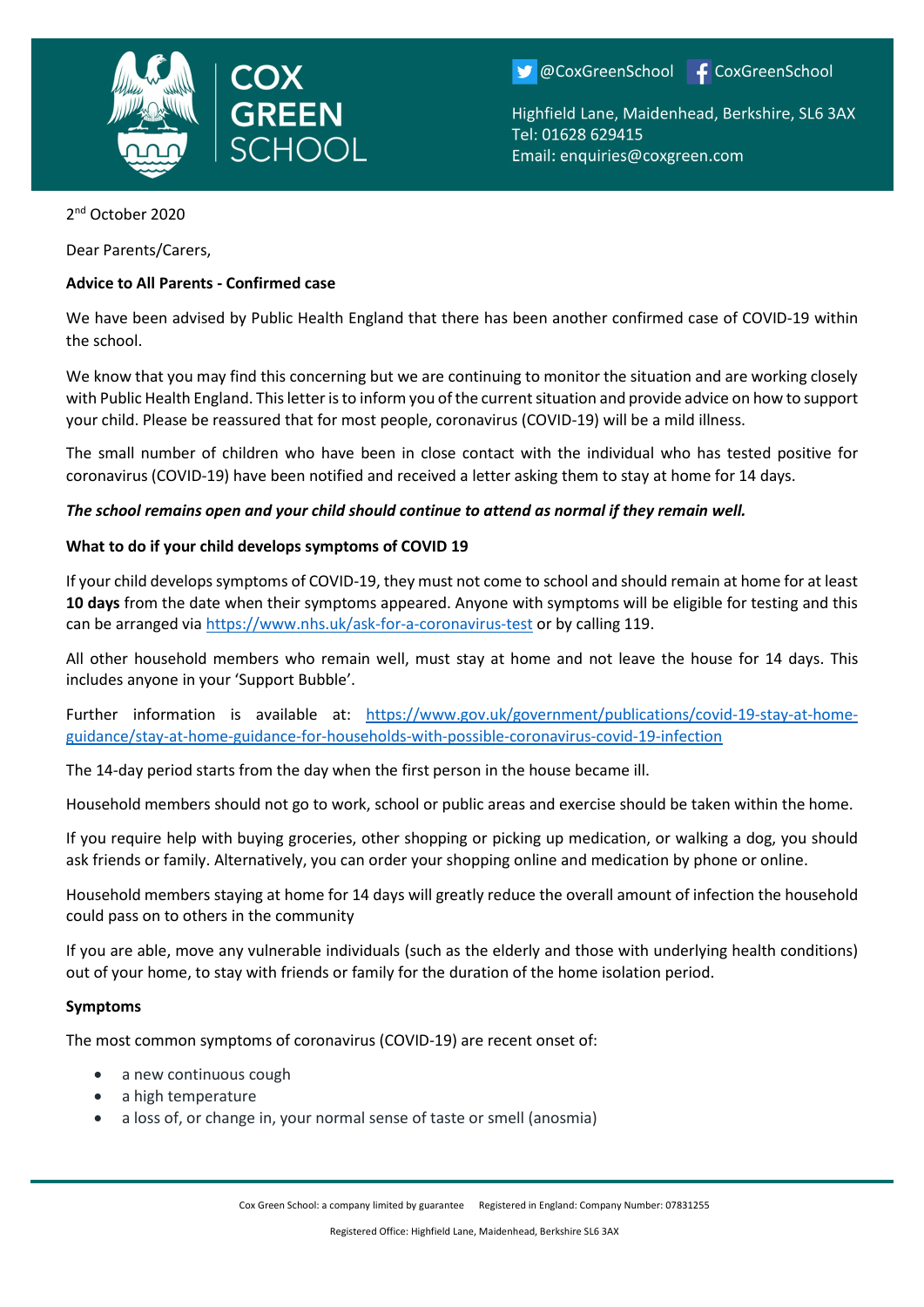

OCoxGreenSchool F CoxGreenSchool

Highfield Lane, Maidenhead, Berkshire, SL6 3AX Tel: 01628 629415 Email: enquiries@coxgreen.com

2<sup>nd</sup> October 2020

Dear Parents/Carers,

# **Advice to All Parents - Confirmed case**

We have been advised by Public Health England that there has been another confirmed case of COVID-19 within the school.

We know that you may find this concerning but we are continuing to monitor the situation and are working closely with Public Health England. This letter is to inform you of the current situation and provide advice on how to support your child. Please be reassured that for most people, coronavirus (COVID-19) will be a mild illness.

The small number of children who have been in close contact with the individual who has tested positive for coronavirus (COVID-19) have been notified and received a letter asking them to stay at home for 14 days.

## *The school remains open and your child should continue to attend as normal if they remain well.*

## **What to do if your child develops symptoms of COVID 19**

If your child develops symptoms of COVID-19, they must not come to school and should remain at home for at least **10 days** from the date when their symptoms appeared. Anyone with symptoms will be eligible for testing and this can be arranged vi[a https://www.nhs.uk/ask-for-a-coronavirus-test](https://www.nhs.uk/ask-for-a-coronavirus-test) or by calling 119.

All other household members who remain well, must stay at home and not leave the house for 14 days. This includes anyone in your 'Support Bubble'.

Further information is available at: [https://www.gov.uk/government/publications/covid-19-stay-at-home](https://www.gov.uk/government/publications/covid-19-stay-at-home-guidance/stay-at-home-guidance-for-households-with-possible-coronavirus-covid-19-infection)[guidance/stay-at-home-guidance-for-households-with-possible-coronavirus-covid-19-infection](https://www.gov.uk/government/publications/covid-19-stay-at-home-guidance/stay-at-home-guidance-for-households-with-possible-coronavirus-covid-19-infection)

The 14-day period starts from the day when the first person in the house became ill.

Household members should not go to work, school or public areas and exercise should be taken within the home.

If you require help with buying groceries, other shopping or picking up medication, or walking a dog, you should ask friends or family. Alternatively, you can order your shopping online and medication by phone or online.

Household members staying at home for 14 days will greatly reduce the overall amount of infection the household could pass on to others in the community

If you are able, move any vulnerable individuals (such as the elderly and those with underlying health conditions) out of your home, to stay with friends or family for the duration of the home isolation period.

#### **Symptoms**

The most common symptoms of coronavirus (COVID-19) are recent onset of:

- a new continuous cough
- a high temperature
- a loss of, or change in, your normal sense of taste or smell (anosmia)